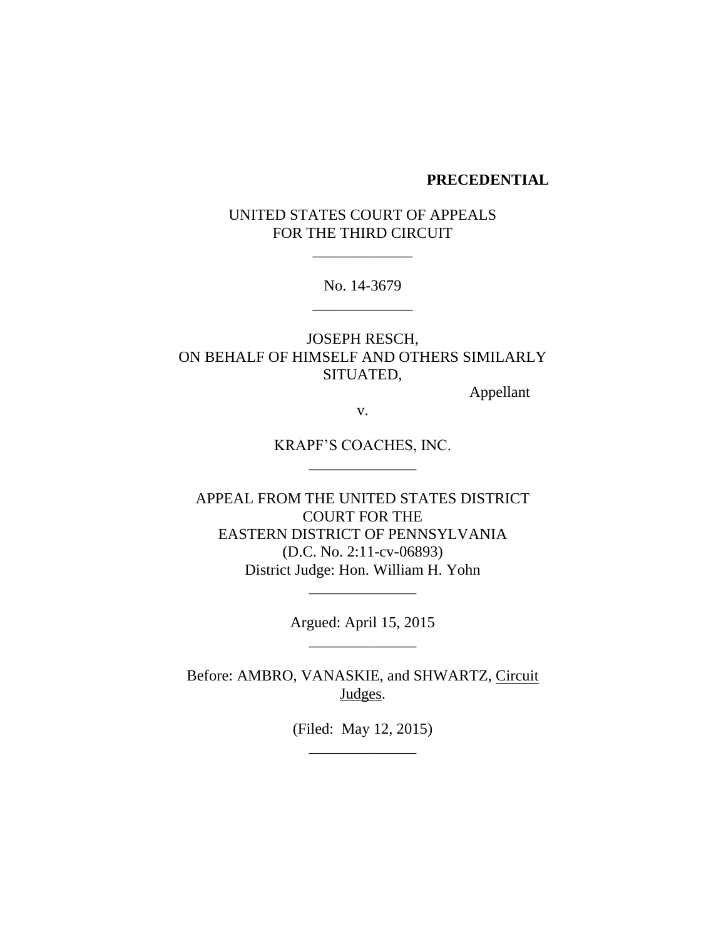#### **PRECEDENTIAL**

UNITED STATES COURT OF APPEALS FOR THE THIRD CIRCUIT

\_\_\_\_\_\_\_\_\_\_\_\_\_

No. 14-3679 \_\_\_\_\_\_\_\_\_\_\_\_\_

JOSEPH RESCH, ON BEHALF OF HIMSELF AND OTHERS SIMILARLY SITUATED,

Appellant

v.

KRAPF'S COACHES, INC. \_\_\_\_\_\_\_\_\_\_\_\_\_\_

APPEAL FROM THE UNITED STATES DISTRICT COURT FOR THE EASTERN DISTRICT OF PENNSYLVANIA (D.C. No. 2:11-cv-06893) District Judge: Hon. William H. Yohn

> Argued: April 15, 2015 \_\_\_\_\_\_\_\_\_\_\_\_\_\_

\_\_\_\_\_\_\_\_\_\_\_\_\_\_

Before: AMBRO, VANASKIE, and SHWARTZ, Circuit Judges.

> (Filed: May 12, 2015) \_\_\_\_\_\_\_\_\_\_\_\_\_\_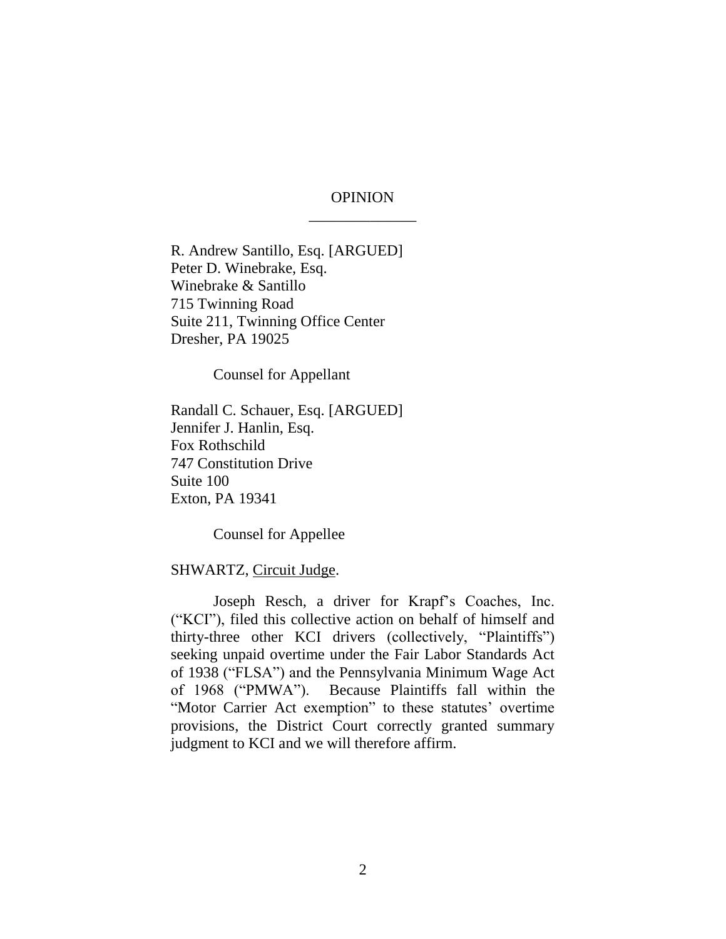# OPINION \_\_\_\_\_\_\_\_\_\_\_\_\_\_

R. Andrew Santillo, Esq. [ARGUED] Peter D. Winebrake, Esq. Winebrake & Santillo 715 Twinning Road Suite 211, Twinning Office Center Dresher, PA 19025

Counsel for Appellant

Randall C. Schauer, Esq. [ARGUED] Jennifer J. Hanlin, Esq. Fox Rothschild 747 Constitution Drive Suite 100 Exton, PA 19341

Counsel for Appellee

#### SHWARTZ, Circuit Judge.

Joseph Resch, a driver for Krapf's Coaches, Inc. ("KCI"), filed this collective action on behalf of himself and thirty-three other KCI drivers (collectively, "Plaintiffs") seeking unpaid overtime under the Fair Labor Standards Act of 1938 ("FLSA") and the Pennsylvania Minimum Wage Act of 1968 ("PMWA"). Because Plaintiffs fall within the "Motor Carrier Act exemption" to these statutes' overtime provisions, the District Court correctly granted summary judgment to KCI and we will therefore affirm.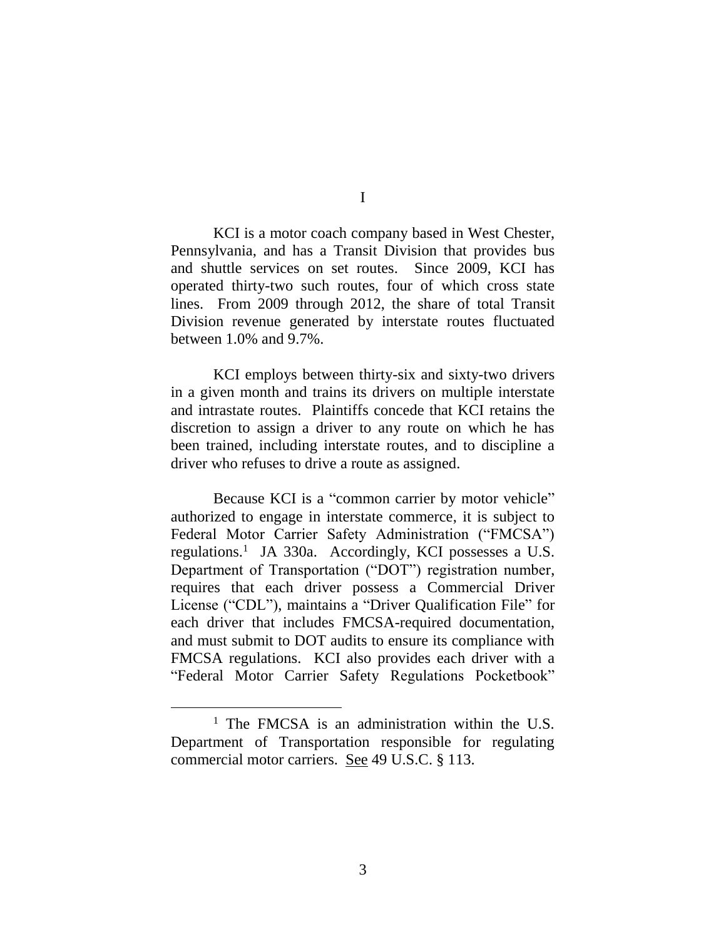KCI is a motor coach company based in West Chester, Pennsylvania, and has a Transit Division that provides bus and shuttle services on set routes. Since 2009, KCI has operated thirty-two such routes, four of which cross state lines. From 2009 through 2012, the share of total Transit Division revenue generated by interstate routes fluctuated between 1.0% and 9.7%.

KCI employs between thirty-six and sixty-two drivers in a given month and trains its drivers on multiple interstate and intrastate routes. Plaintiffs concede that KCI retains the discretion to assign a driver to any route on which he has been trained, including interstate routes, and to discipline a driver who refuses to drive a route as assigned.

Because KCI is a "common carrier by motor vehicle" authorized to engage in interstate commerce, it is subject to Federal Motor Carrier Safety Administration ("FMCSA") regulations. 1 JA 330a.Accordingly, KCI possesses a U.S. Department of Transportation ("DOT") registration number, requires that each driver possess a Commercial Driver License ("CDL"), maintains a "Driver Qualification File" for each driver that includes FMCSA-required documentation, and must submit to DOT audits to ensure its compliance with FMCSA regulations. KCI also provides each driver with a "Federal Motor Carrier Safety Regulations Pocketbook"

 $\overline{a}$ 

I

<sup>&</sup>lt;sup>1</sup> The FMCSA is an administration within the U.S. Department of Transportation responsible for regulating commercial motor carriers. See 49 U.S.C. § 113.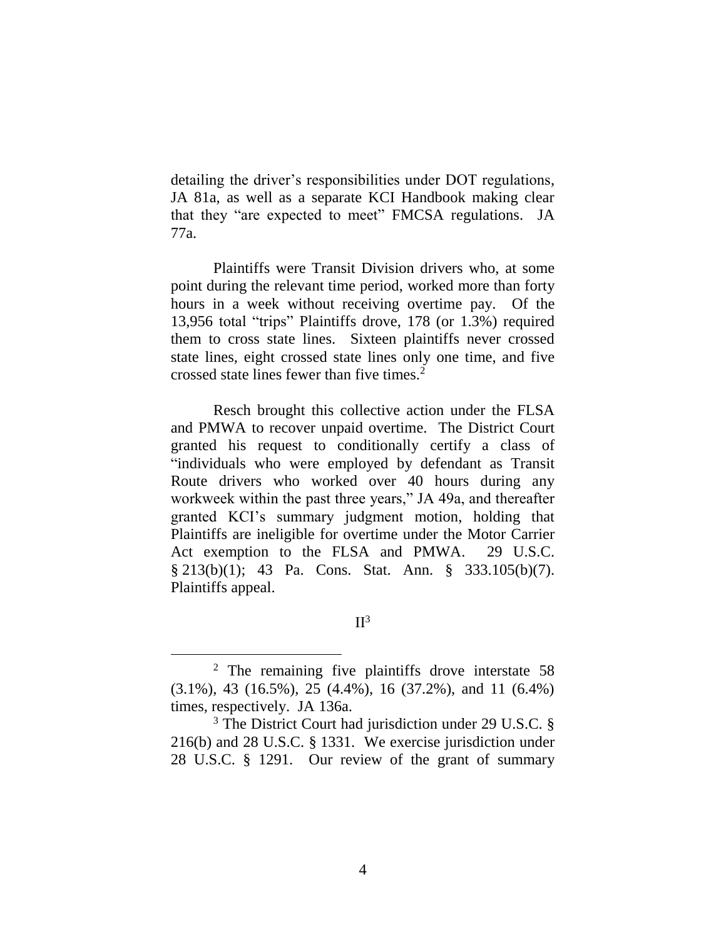detailing the driver's responsibilities under DOT regulations, JA 81a, as well as a separate KCI Handbook making clear that they "are expected to meet" FMCSA regulations. JA 77a.

Plaintiffs were Transit Division drivers who, at some point during the relevant time period, worked more than forty hours in a week without receiving overtime pay. Of the 13,956 total "trips" Plaintiffs drove, 178 (or 1.3%) required them to cross state lines. Sixteen plaintiffs never crossed state lines, eight crossed state lines only one time, and five crossed state lines fewer than five times.<sup>2</sup>

Resch brought this collective action under the FLSA and PMWA to recover unpaid overtime. The District Court granted his request to conditionally certify a class of "individuals who were employed by defendant as Transit Route drivers who worked over 40 hours during any workweek within the past three years," JA 49a, and thereafter granted KCI's summary judgment motion, holding that Plaintiffs are ineligible for overtime under the Motor Carrier Act exemption to the FLSA and PMWA. 29 U.S.C. § 213(b)(1); 43 Pa. Cons. Stat. Ann. § 333.105(b)(7). Plaintiffs appeal.

 $II<sup>3</sup>$ 

<sup>2</sup> The remaining five plaintiffs drove interstate 58 (3.1%), 43 (16.5%), 25 (4.4%), 16 (37.2%), and 11 (6.4%) times, respectively. JA 136a.

<sup>&</sup>lt;sup>3</sup> The District Court had jurisdiction under 29 U.S.C. § 216(b) and 28 U.S.C. § 1331. We exercise jurisdiction under 28 U.S.C. § 1291. Our review of the grant of summary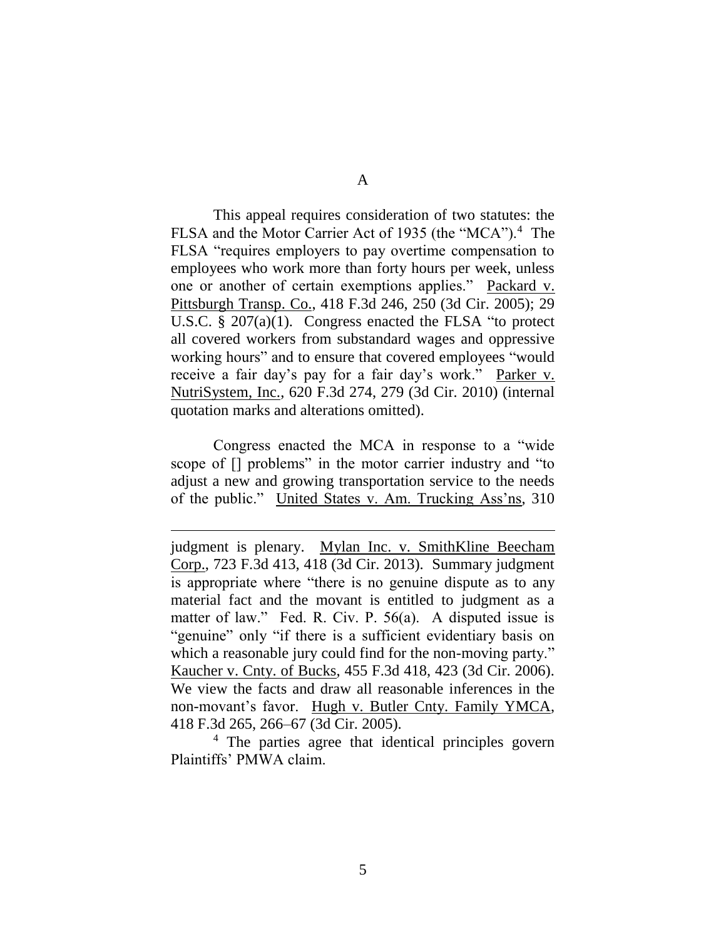A

This appeal requires consideration of two statutes: the FLSA and the Motor Carrier Act of 1935 (the "MCA").<sup>4</sup> The FLSA "requires employers to pay overtime compensation to employees who work more than forty hours per week, unless one or another of certain exemptions applies." Packard v. Pittsburgh Transp. Co., 418 F.3d 246, 250 (3d Cir. 2005); 29 U.S.C. § 207(a)(1). Congress enacted the FLSA "to protect all covered workers from substandard wages and oppressive working hours" and to ensure that covered employees "would receive a fair day's pay for a fair day's work." Parker v. NutriSystem, Inc., 620 F.3d 274, 279 (3d Cir. 2010) (internal quotation marks and alterations omitted).

Congress enacted the MCA in response to a "wide scope of [] problems" in the motor carrier industry and "to adjust a new and growing transportation service to the needs of the public." United States v. Am. Trucking Ass'ns, 310

<sup>4</sup> The parties agree that identical principles govern Plaintiffs' PMWA claim.

judgment is plenary. Mylan Inc. v. SmithKline Beecham Corp., 723 F.3d 413, 418 (3d Cir. 2013). Summary judgment is appropriate where "there is no genuine dispute as to any material fact and the movant is entitled to judgment as a matter of law." Fed. R. Civ. P. 56(a). A disputed issue is "genuine" only "if there is a sufficient evidentiary basis on which a reasonable jury could find for the non-moving party." Kaucher v. Cnty. of Bucks, 455 F.3d 418, 423 (3d Cir. 2006). We view the facts and draw all reasonable inferences in the non-movant's favor. Hugh v. Butler Cnty. Family YMCA, 418 F.3d 265, 266–67 (3d Cir. 2005).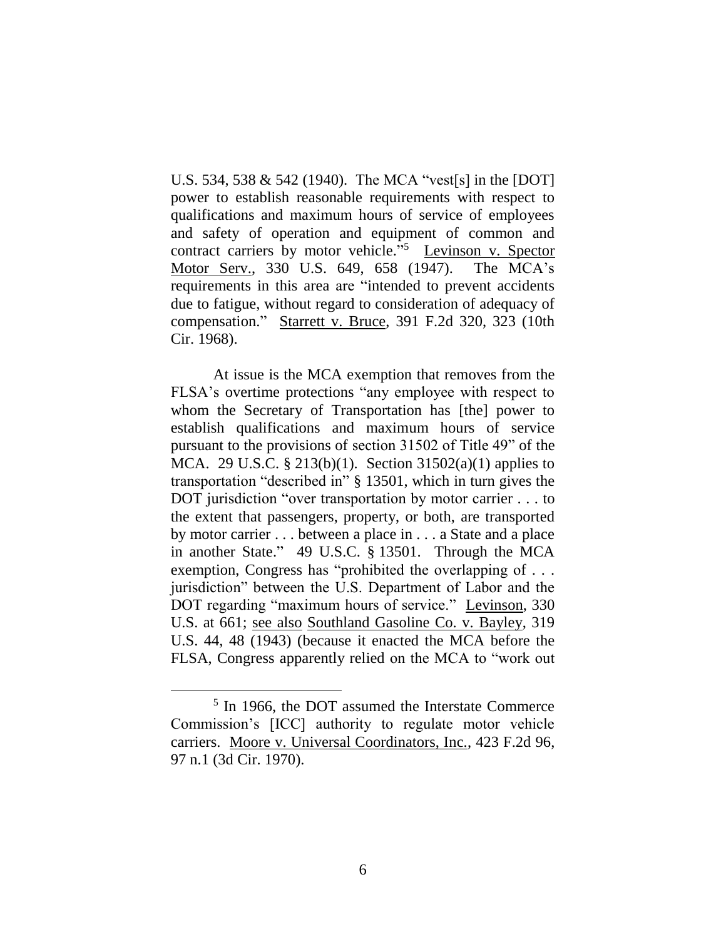U.S. 534, 538 & 542 (1940). The MCA "vest[s] in the [DOT] power to establish reasonable requirements with respect to qualifications and maximum hours of service of employees and safety of operation and equipment of common and contract carriers by motor vehicle."<sup>5</sup> Levinson v. Spector Motor Serv., 330 U.S. 649, 658 (1947). The MCA's requirements in this area are "intended to prevent accidents due to fatigue, without regard to consideration of adequacy of compensation." Starrett v. Bruce, 391 F.2d 320, 323 (10th Cir. 1968).

At issue is the MCA exemption that removes from the FLSA's overtime protections "any employee with respect to whom the Secretary of Transportation has [the] power to establish qualifications and maximum hours of service pursuant to the provisions of section 31502 of Title 49" of the MCA. 29 U.S.C. § 213(b)(1). Section 31502(a)(1) applies to transportation "described in" § 13501, which in turn gives the DOT jurisdiction "over transportation by motor carrier . . . to the extent that passengers, property, or both, are transported by motor carrier . . . between a place in . . . a State and a place in another State." 49 U.S.C. § 13501. Through the MCA exemption, Congress has "prohibited the overlapping of . . . jurisdiction" between the U.S. Department of Labor and the DOT regarding "maximum hours of service." Levinson, 330 U.S. at 661; see also Southland Gasoline Co. v. Bayley, 319 U.S. 44, 48 (1943) (because it enacted the MCA before the FLSA, Congress apparently relied on the MCA to "work out

<sup>5</sup> In 1966, the DOT assumed the Interstate Commerce Commission's [ICC] authority to regulate motor vehicle carriers. Moore v. Universal Coordinators, Inc., 423 F.2d 96, 97 n.1 (3d Cir. 1970).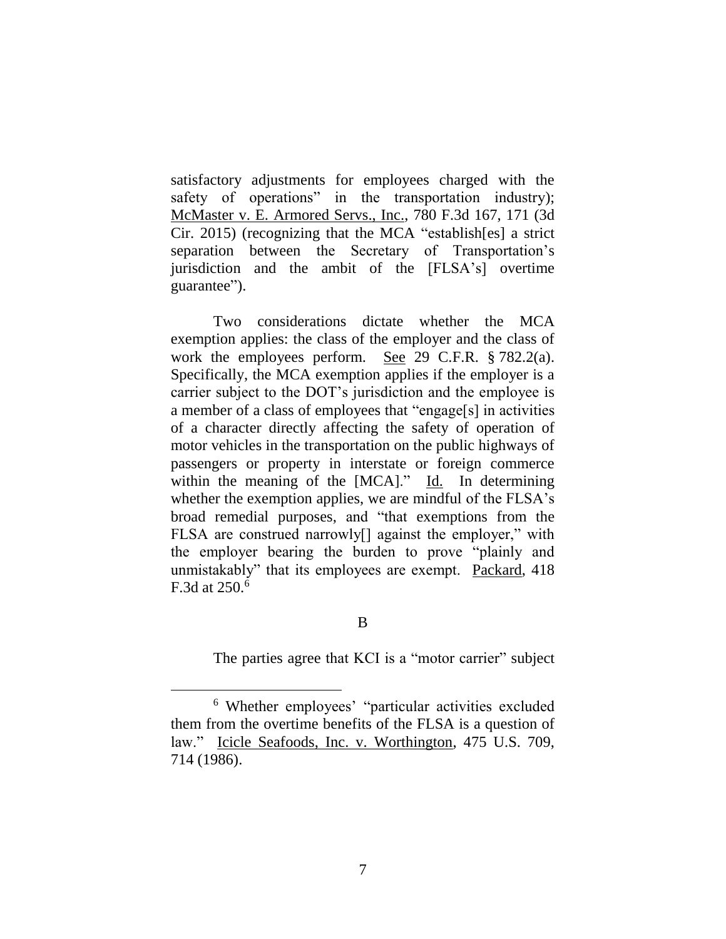satisfactory adjustments for employees charged with the safety of operations" in the transportation industry); McMaster v. E. Armored Servs., Inc., 780 F.3d 167, 171 (3d Cir. 2015) (recognizing that the MCA "establish[es] a strict separation between the Secretary of Transportation's jurisdiction and the ambit of the [FLSA's] overtime guarantee").

Two considerations dictate whether the MCA exemption applies: the class of the employer and the class of work the employees perform. See 29 C.F.R. § 782.2(a). Specifically, the MCA exemption applies if the employer is a carrier subject to the DOT's jurisdiction and the employee is a member of a class of employees that "engage[s] in activities of a character directly affecting the safety of operation of motor vehicles in the transportation on the public highways of passengers or property in interstate or foreign commerce within the meaning of the [MCA]." Id. In determining whether the exemption applies, we are mindful of the FLSA's broad remedial purposes, and "that exemptions from the FLSA are construed narrowly[] against the employer," with the employer bearing the burden to prove "plainly and unmistakably" that its employees are exempt. Packard, 418 F.3d at  $250<sup>6</sup>$ 

# B

The parties agree that KCI is a "motor carrier" subject

<sup>6</sup> Whether employees' "particular activities excluded them from the overtime benefits of the FLSA is a question of law." Icicle Seafoods, Inc. v. Worthington, 475 U.S. 709, 714 (1986).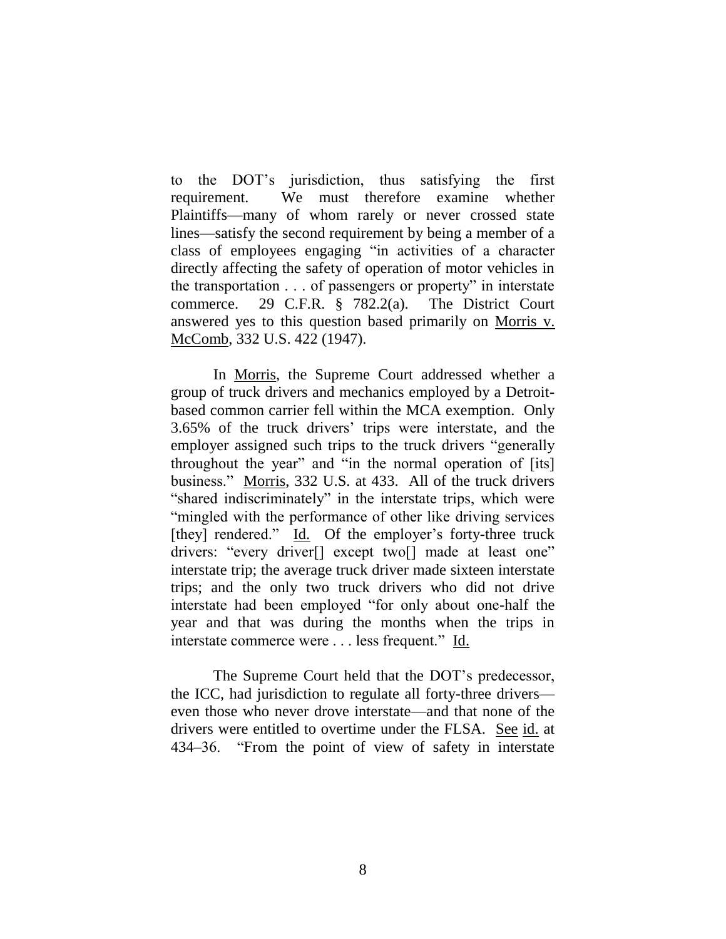to the DOT's jurisdiction, thus satisfying the first requirement. We must therefore examine whether Plaintiffs—many of whom rarely or never crossed state lines—satisfy the second requirement by being a member of a class of employees engaging "in activities of a character directly affecting the safety of operation of motor vehicles in the transportation . . . of passengers or property" in interstate commerce. 29 C.F.R. § 782.2(a). The District Court answered yes to this question based primarily on Morris v. McComb, 332 U.S. 422 (1947).

In Morris, the Supreme Court addressed whether a group of truck drivers and mechanics employed by a Detroitbased common carrier fell within the MCA exemption. Only 3.65% of the truck drivers' trips were interstate, and the employer assigned such trips to the truck drivers "generally throughout the year" and "in the normal operation of [its] business." Morris, 332 U.S. at 433. All of the truck drivers "shared indiscriminately" in the interstate trips, which were "mingled with the performance of other like driving services [they] rendered." Id. Of the employer's forty-three truck drivers: "every driver[] except two[] made at least one" interstate trip; the average truck driver made sixteen interstate trips; and the only two truck drivers who did not drive interstate had been employed "for only about one-half the year and that was during the months when the trips in interstate commerce were . . . less frequent." Id.

The Supreme Court held that the DOT's predecessor, the ICC, had jurisdiction to regulate all forty-three drivers even those who never drove interstate—and that none of the drivers were entitled to overtime under the FLSA. See id. at 434–36. "From the point of view of safety in interstate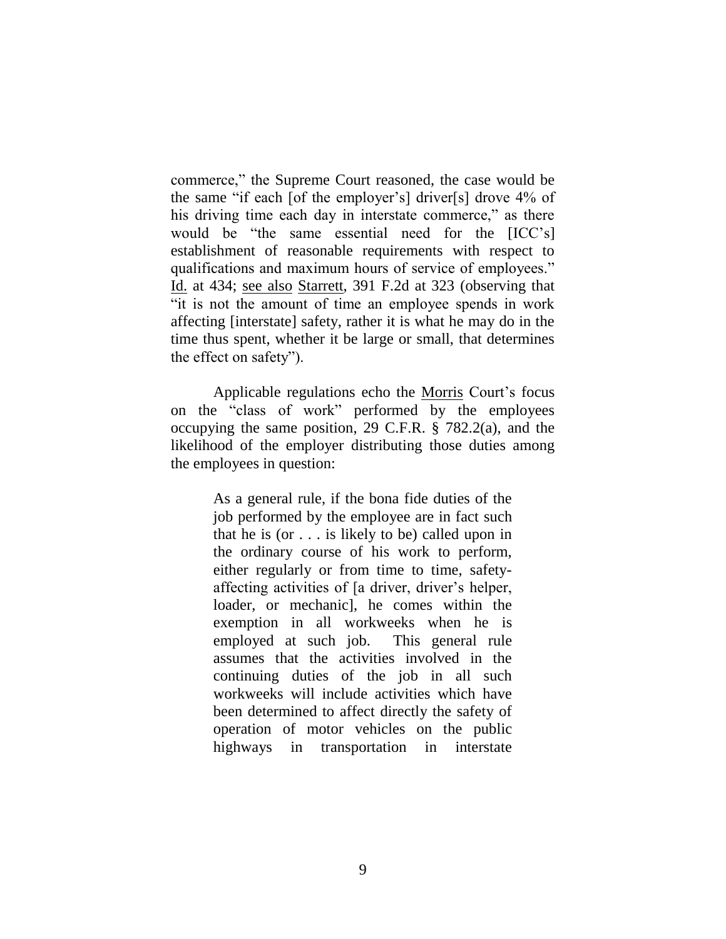commerce," the Supreme Court reasoned, the case would be the same "if each [of the employer's] driver[s] drove 4% of his driving time each day in interstate commerce," as there would be "the same essential need for the [ICC's] establishment of reasonable requirements with respect to qualifications and maximum hours of service of employees." Id. at 434; see also Starrett, 391 F.2d at 323 (observing that "it is not the amount of time an employee spends in work affecting [interstate] safety, rather it is what he may do in the time thus spent, whether it be large or small, that determines the effect on safety").

Applicable regulations echo the Morris Court's focus on the "class of work" performed by the employees occupying the same position, 29 C.F.R. § 782.2(a), and the likelihood of the employer distributing those duties among the employees in question:

> As a general rule, if the bona fide duties of the job performed by the employee are in fact such that he is (or . . . is likely to be) called upon in the ordinary course of his work to perform, either regularly or from time to time, safetyaffecting activities of [a driver, driver's helper, loader, or mechanic], he comes within the exemption in all workweeks when he is employed at such job. This general rule assumes that the activities involved in the continuing duties of the job in all such workweeks will include activities which have been determined to affect directly the safety of operation of motor vehicles on the public highways in transportation in interstate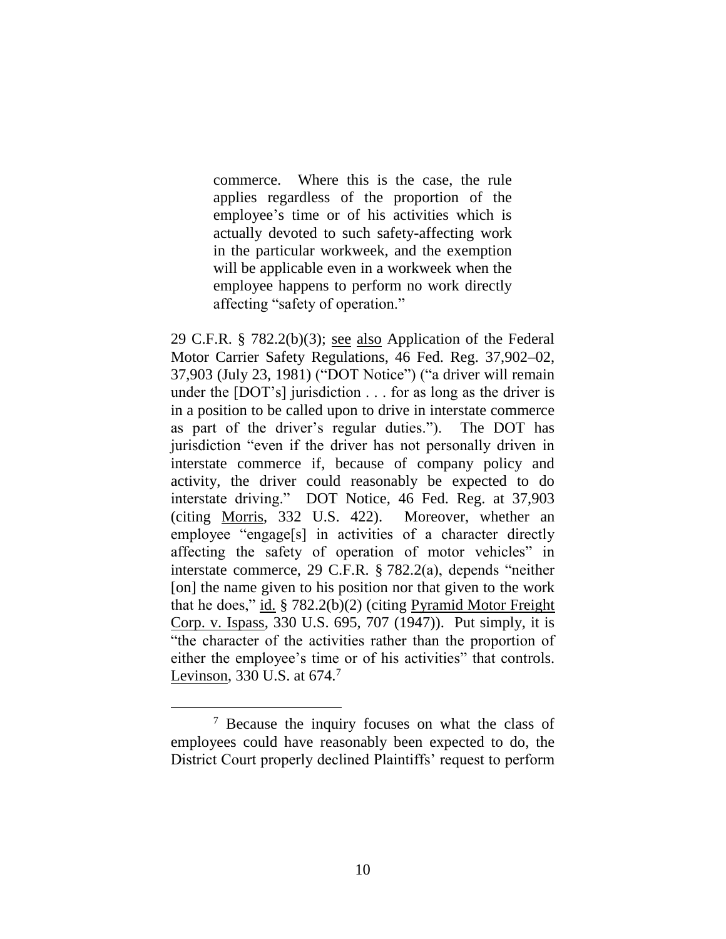commerce. Where this is the case, the rule applies regardless of the proportion of the employee's time or of his activities which is actually devoted to such safety-affecting work in the particular workweek, and the exemption will be applicable even in a workweek when the employee happens to perform no work directly affecting "safety of operation."

29 C.F.R. § 782.2(b)(3); see also Application of the Federal Motor Carrier Safety Regulations, 46 Fed. Reg. 37,902–02, 37,903 (July 23, 1981) ("DOT Notice") ("a driver will remain under the [DOT's] jurisdiction . . . for as long as the driver is in a position to be called upon to drive in interstate commerce as part of the driver's regular duties."). The DOT has jurisdiction "even if the driver has not personally driven in interstate commerce if, because of company policy and activity, the driver could reasonably be expected to do interstate driving." DOT Notice, 46 Fed. Reg. at 37,903 (citing Morris, 332 U.S. 422). Moreover, whether an employee "engage[s] in activities of a character directly affecting the safety of operation of motor vehicles" in interstate commerce, 29 C.F.R. § 782.2(a), depends "neither [on] the name given to his position nor that given to the work that he does," id. § 782.2(b)(2) (citing Pyramid Motor Freight Corp. v. Ispass, 330 U.S. 695, 707 (1947)). Put simply, it is "the character of the activities rather than the proportion of either the employee's time or of his activities" that controls. Levinson, 330 U.S. at 674.<sup>7</sup>

<sup>7</sup> Because the inquiry focuses on what the class of employees could have reasonably been expected to do, the District Court properly declined Plaintiffs' request to perform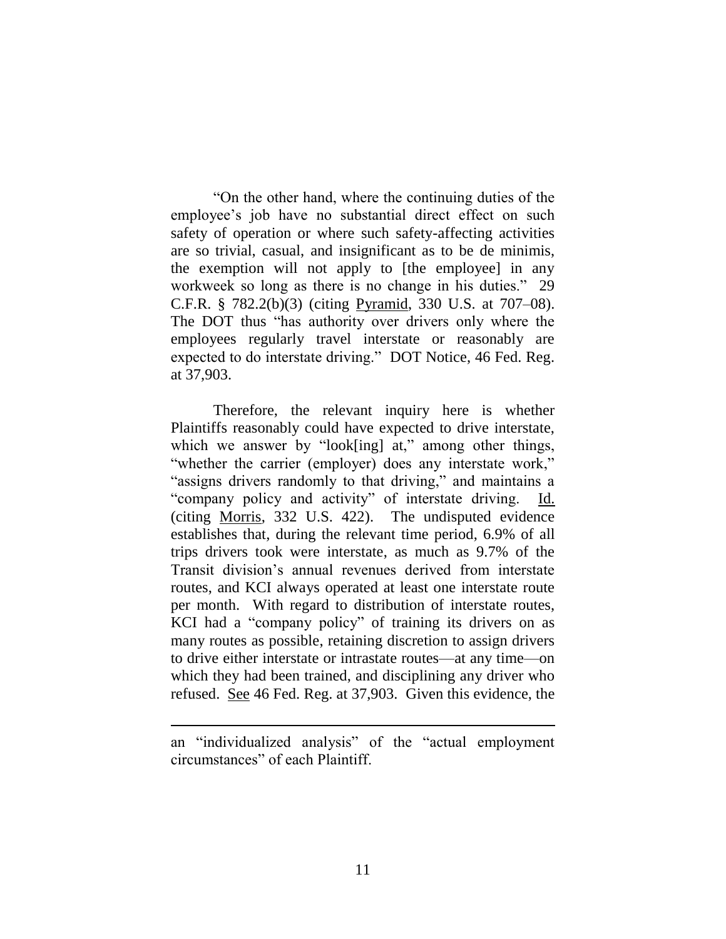"On the other hand, where the continuing duties of the employee's job have no substantial direct effect on such safety of operation or where such safety-affecting activities are so trivial, casual, and insignificant as to be de minimis, the exemption will not apply to [the employee] in any workweek so long as there is no change in his duties." 29 C.F.R. § 782.2(b)(3) (citing Pyramid, 330 U.S. at 707–08). The DOT thus "has authority over drivers only where the employees regularly travel interstate or reasonably are expected to do interstate driving." DOT Notice, 46 Fed. Reg. at 37,903.

Therefore, the relevant inquiry here is whether Plaintiffs reasonably could have expected to drive interstate, which we answer by "look[ing] at," among other things, "whether the carrier (employer) does any interstate work," "assigns drivers randomly to that driving," and maintains a "company policy and activity" of interstate driving. Id. (citing Morris, 332 U.S. 422). The undisputed evidence establishes that, during the relevant time period, 6.9% of all trips drivers took were interstate, as much as 9.7% of the Transit division's annual revenues derived from interstate routes, and KCI always operated at least one interstate route per month. With regard to distribution of interstate routes, KCI had a "company policy" of training its drivers on as many routes as possible, retaining discretion to assign drivers to drive either interstate or intrastate routes—at any time—on which they had been trained, and disciplining any driver who refused. See 46 Fed. Reg. at 37,903. Given this evidence, the

an "individualized analysis" of the "actual employment circumstances" of each Plaintiff.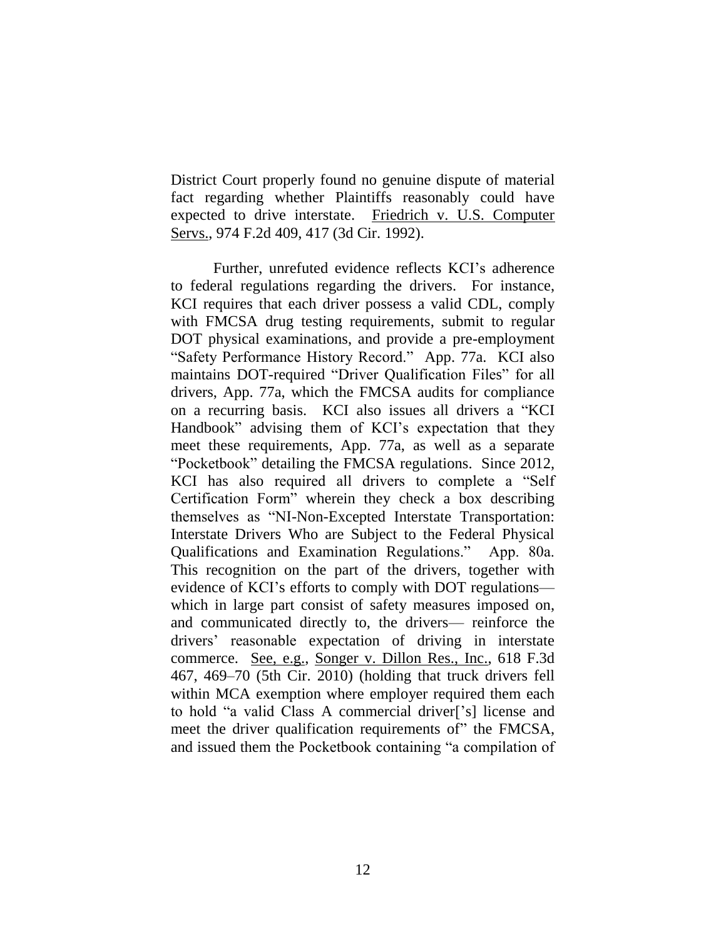District Court properly found no genuine dispute of material fact regarding whether Plaintiffs reasonably could have expected to drive interstate. Friedrich v. U.S. Computer Servs., 974 F.2d 409, 417 (3d Cir. 1992).

Further, unrefuted evidence reflects KCI's adherence to federal regulations regarding the drivers. For instance, KCI requires that each driver possess a valid CDL, comply with FMCSA drug testing requirements, submit to regular DOT physical examinations, and provide a pre-employment "Safety Performance History Record." App. 77a. KCI also maintains DOT-required "Driver Qualification Files" for all drivers, App. 77a, which the FMCSA audits for compliance on a recurring basis. KCI also issues all drivers a "KCI Handbook" advising them of KCI's expectation that they meet these requirements, App. 77a, as well as a separate "Pocketbook" detailing the FMCSA regulations. Since 2012, KCI has also required all drivers to complete a "Self Certification Form" wherein they check a box describing themselves as "NI-Non-Excepted Interstate Transportation: Interstate Drivers Who are Subject to the Federal Physical Qualifications and Examination Regulations." App. 80a. This recognition on the part of the drivers, together with evidence of KCI's efforts to comply with DOT regulations which in large part consist of safety measures imposed on, and communicated directly to, the drivers— reinforce the drivers' reasonable expectation of driving in interstate commerce. See, e.g., Songer v. Dillon Res., Inc., 618 F.3d 467, 469–70 (5th Cir. 2010) (holding that truck drivers fell within MCA exemption where employer required them each to hold "a valid Class A commercial driver['s] license and meet the driver qualification requirements of" the FMCSA, and issued them the Pocketbook containing "a compilation of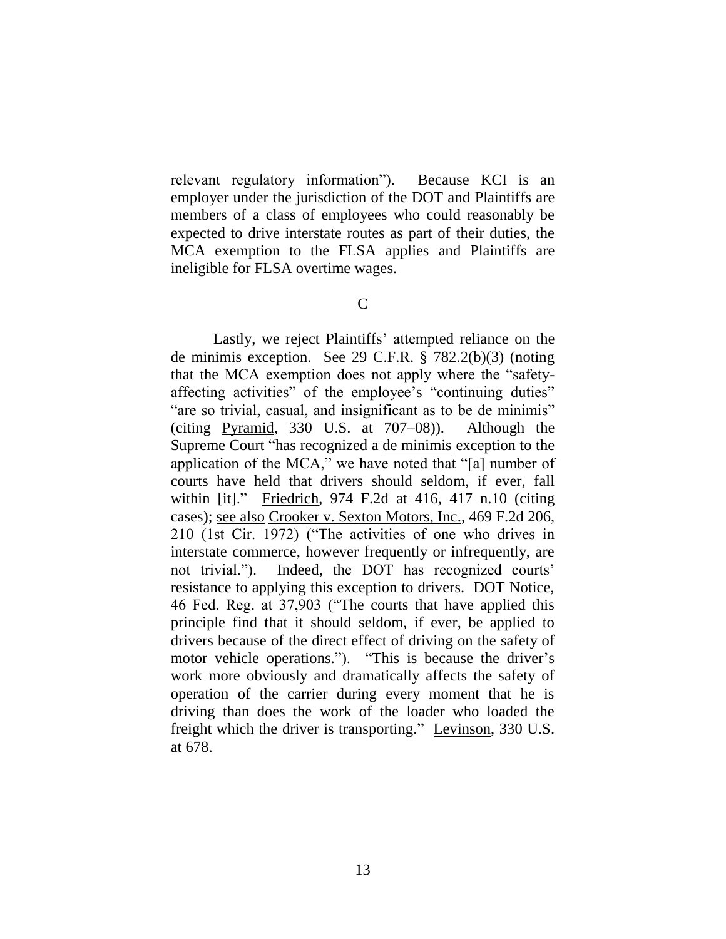relevant regulatory information"). Because KCI is an employer under the jurisdiction of the DOT and Plaintiffs are members of a class of employees who could reasonably be expected to drive interstate routes as part of their duties, the MCA exemption to the FLSA applies and Plaintiffs are ineligible for FLSA overtime wages.

 $\mathcal{C}$ 

Lastly, we reject Plaintiffs' attempted reliance on the de minimis exception. See 29 C.F.R. § 782.2(b)(3) (noting that the MCA exemption does not apply where the "safetyaffecting activities" of the employee's "continuing duties" "are so trivial, casual, and insignificant as to be de minimis" (citing Pyramid, 330 U.S. at 707–08)). Although the Supreme Court "has recognized a de minimis exception to the application of the MCA," we have noted that "[a] number of courts have held that drivers should seldom, if ever, fall within [it]." Friedrich, 974 F.2d at 416, 417 n.10 (citing cases); see also Crooker v. Sexton Motors, Inc., 469 F.2d 206, 210 (1st Cir. 1972) ("The activities of one who drives in interstate commerce, however frequently or infrequently, are not trivial."). Indeed, the DOT has recognized courts' resistance to applying this exception to drivers. DOT Notice, 46 Fed. Reg. at 37,903 ("The courts that have applied this principle find that it should seldom, if ever, be applied to drivers because of the direct effect of driving on the safety of motor vehicle operations."). "This is because the driver's work more obviously and dramatically affects the safety of operation of the carrier during every moment that he is driving than does the work of the loader who loaded the freight which the driver is transporting." Levinson, 330 U.S. at 678.